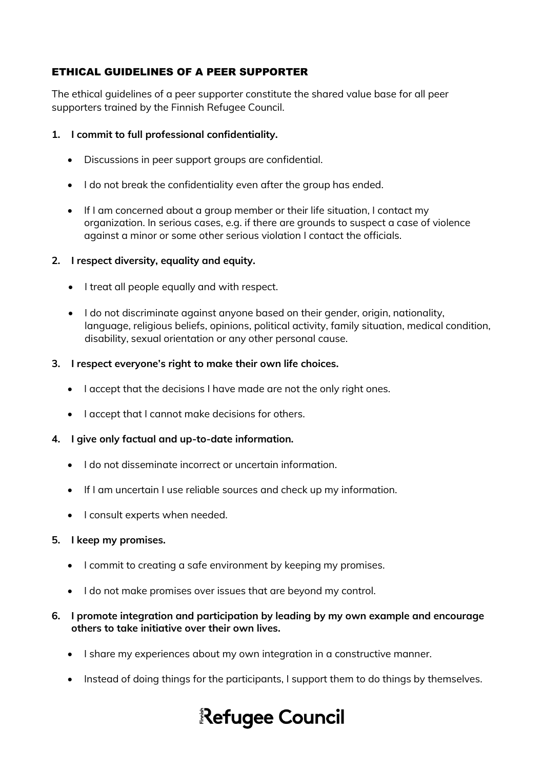# ETHICAL GUIDELINES OF A PEER SUPPORTER

The ethical guidelines of a peer supporter constitute the shared value base for all peer supporters trained by the Finnish Refugee Council.

### **1. I commit to full professional confidentiality.**

- Discussions in peer support groups are confidential.
- I do not break the confidentiality even after the group has ended.
- If I am concerned about a group member or their life situation, I contact my organization. In serious cases, e.g. if there are grounds to suspect a case of violence against a minor or some other serious violation I contact the officials.

### **2. I respect diversity, equality and equity.**

- I treat all people equally and with respect.
- I do not discriminate against anyone based on their gender, origin, nationality, language, religious beliefs, opinions, political activity, family situation, medical condition, disability, sexual orientation or any other personal cause.
- **3. I respect everyone's right to make their own life choices.**
	- I accept that the decisions I have made are not the only right ones.
	- I accept that I cannot make decisions for others.

### **4. I give only factual and up-to-date information.**

- I do not disseminate incorrect or uncertain information.
- If I am uncertain I use reliable sources and check up my information.
- I consult experts when needed.

### **5. I keep my promises.**

- I commit to creating a safe environment by keeping my promises.
- I do not make promises over issues that are beyond my control.

### **6. I promote integration and participation by leading by my own example and encourage others to take initiative over their own lives.**

- I share my experiences about my own integration in a constructive manner.
- Instead of doing things for the participants, I support them to do things by themselves.

# Refugee Council